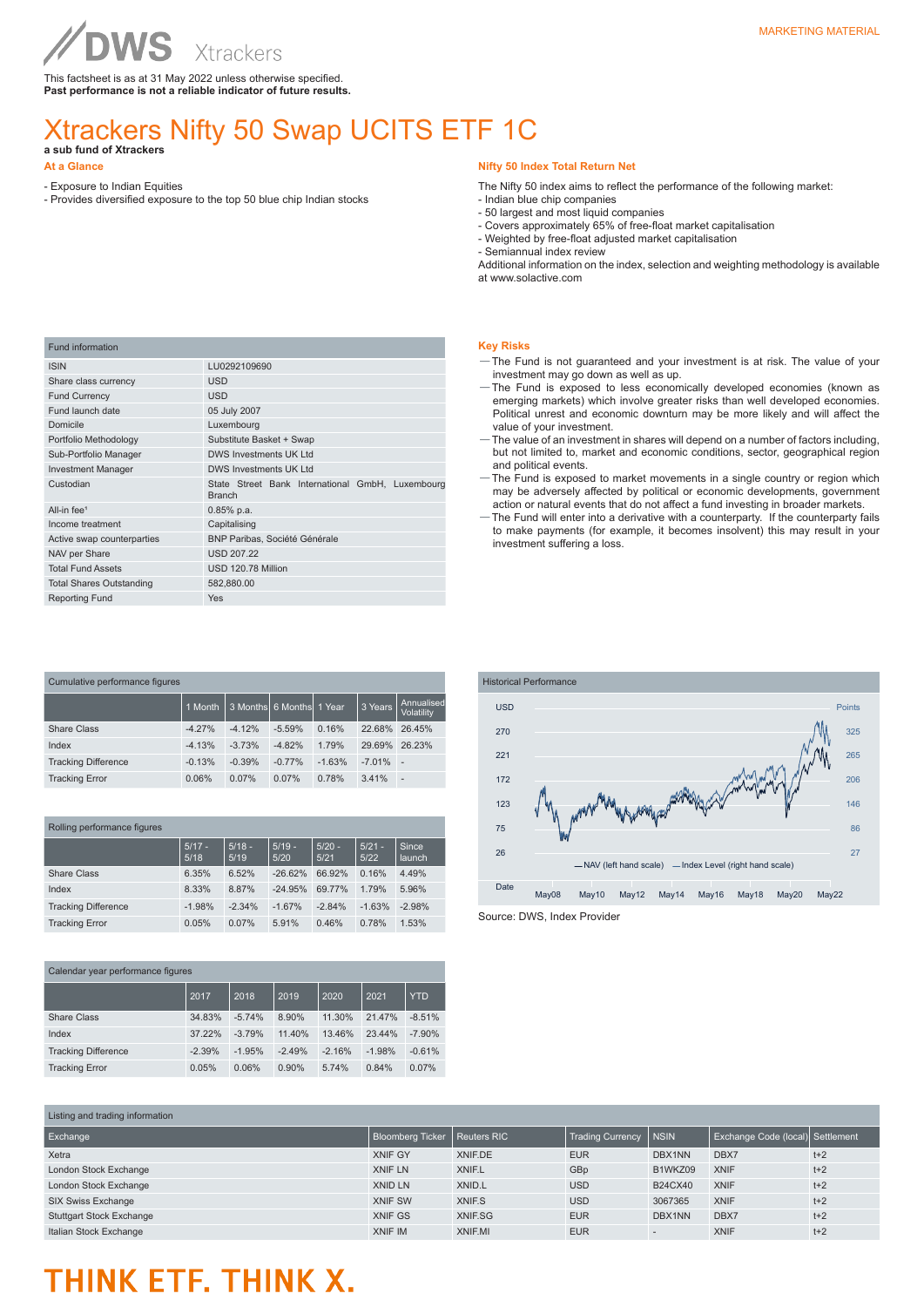This factsheet is as at 31 May 2022 unless otherwise specified. **Past performance is not a reliable indicator of future results.**

### Xtrackers Nifty 50 Swap UCITS ETF 1C **a sub fund of Xtrackers**

- **At a Glance**
- Exposure to Indian Equities
- Provides diversified exposure to the top 50 blue chip Indian stocks

#### **Nifty 50 Index Total Return Net**

- The Nifty 50 index aims to reflect the performance of the following market:
- Indian blue chip companies
- 50 largest and most liquid companies
- Covers approximately 65% of free-float market capitalisation - Weighted by free-float adjusted market capitalisation
- Semiannual index review

Additional information on the index, selection and weighting methodology is available at www.solactive.com

| Fund information                |                                                                   |  |  |  |  |  |
|---------------------------------|-------------------------------------------------------------------|--|--|--|--|--|
| <b>ISIN</b>                     | LU0292109690                                                      |  |  |  |  |  |
| Share class currency            | <b>USD</b>                                                        |  |  |  |  |  |
| <b>Fund Currency</b>            | <b>USD</b>                                                        |  |  |  |  |  |
| Fund launch date                | 05 July 2007                                                      |  |  |  |  |  |
| Domicile                        | Luxembourg                                                        |  |  |  |  |  |
| Portfolio Methodology           | Substitute Basket + Swap                                          |  |  |  |  |  |
| Sub-Portfolio Manager           | DWS Investments UK I td                                           |  |  |  |  |  |
| <b>Investment Manager</b>       | DWS Investments UK I td                                           |  |  |  |  |  |
| Custodian                       | State Street Bank International GmbH, Luxembourg<br><b>Branch</b> |  |  |  |  |  |
| All-in fee <sup>1</sup>         | $0.85%$ p.a.                                                      |  |  |  |  |  |
| Income treatment                | Capitalising                                                      |  |  |  |  |  |
| Active swap counterparties      | <b>BNP Paribas, Société Générale</b>                              |  |  |  |  |  |
| NAV per Share                   | <b>USD 207.22</b>                                                 |  |  |  |  |  |
| <b>Total Fund Assets</b>        | USD 120.78 Million                                                |  |  |  |  |  |
| <b>Total Shares Outstanding</b> | 582,880.00                                                        |  |  |  |  |  |
| <b>Reporting Fund</b>           | Yes                                                               |  |  |  |  |  |
|                                 |                                                                   |  |  |  |  |  |

| Cumulative performance figures |          |          |                          |          |          |                          |  |
|--------------------------------|----------|----------|--------------------------|----------|----------|--------------------------|--|
|                                | 1 Month  |          | 3 Months 6 Months 1 Year |          | 3 Years  | Annualised<br>Volatility |  |
| Share Class                    | $-4.27%$ | $-4.12%$ | $-5.59%$                 | 0.16%    | 22.68%   | 26.45%                   |  |
| Index                          | $-4.13%$ | $-3.73%$ | $-4.82%$                 | 1.79%    | 29.69%   | 26.23%                   |  |
| <b>Tracking Difference</b>     | $-0.13%$ | $-0.39%$ | $-0.77%$                 | $-1.63%$ | $-7.01%$ | $\sim$                   |  |
| <b>Tracking Error</b>          | 0.06%    | 0.07%    | 0.07%                    | 0.78%    | 3.41%    | $\overline{a}$           |  |

|  | Rolling performance figures |                  |                  |                  |                  |                  |                 |
|--|-----------------------------|------------------|------------------|------------------|------------------|------------------|-----------------|
|  |                             | $5/17 -$<br>5/18 | $5/18 -$<br>5/19 | $5/19 -$<br>5/20 | $5/20 -$<br>5/21 | $5/21 -$<br>5/22 | Since<br>launch |
|  | Share Class                 | 6.35%            | 6.52%            | $-26.62%$        | 66.92%           | 0.16%            | 4.49%           |
|  | Index                       | 8.33%            | 8.87%            | $-24.95%$        | 69.77%           | 1.79%            | 5.96%           |
|  | <b>Tracking Difference</b>  | $-1.98%$         | $-2.34%$         | $-1.67%$         | $-2.84%$         | $-1.63%$         | $-2.98%$        |
|  | <b>Tracking Error</b>       | 0.05%            | 0.07%            | 5.91%            | 0.46%            | 0.78%            | 1.53%           |

| Calendar year performance figures |          |          |          |          |          |            |
|-----------------------------------|----------|----------|----------|----------|----------|------------|
|                                   | 2017     | 2018     | 2019     | 2020     | 2021     | <b>YTD</b> |
| Share Class                       | 34.83%   | $-5.74%$ | 8.90%    | 11.30%   | 21.47%   | $-8.51%$   |
| Index                             | 37.22%   | $-3.79%$ | 11.40%   | 13.46%   | 23.44%   | $-7.90%$   |
| <b>Tracking Difference</b>        | $-2.39%$ | $-1.95%$ | $-2.49%$ | $-2.16%$ | $-1.98%$ | $-0.61%$   |
| <b>Tracking Error</b>             | 0.05%    | 0.06%    | 0.90%    | 5.74%    | 0.84%    | 0.07%      |

#### **Key Risks**

- —The Fund is not guaranteed and your investment is at risk. The value of your investment may go down as well as up.
- —The Fund is exposed to less economically developed economies (known as emerging markets) which involve greater risks than well developed economies. Political unrest and economic downturn may be more likely and will affect the value of your investment.
- —The value of an investment in shares will depend on a number of factors including, but not limited to, market and economic conditions, sector, geographical region and political events.
- —The Fund is exposed to market movements in a single country or region which may be adversely affected by political or economic developments, government action or natural events that do not affect a fund investing in broader markets.
- —The Fund will enter into a derivative with a counterparty. If the counterparty fails to make payments (for example, it becomes insolvent) this may result in your investment suffering a loss.



Source: DWS, Index Provider

| Liberig and adding information  |                                |              |                         |                |                                  |       |  |
|---------------------------------|--------------------------------|--------------|-------------------------|----------------|----------------------------------|-------|--|
| Exchange                        | Bloomberg Ticker   Reuters RIC |              | <b>Trading Currency</b> | <b>NSIN</b>    | Exchange Code (local) Settlement |       |  |
| Xetra                           | XNIF GY                        | XNIF.DE      | <b>EUR</b>              | DBX1NN         | DBX7                             | $t+2$ |  |
| London Stock Exchange           | XNIF LN                        | <b>XNIFL</b> | GBp                     | B1WKZ09        | <b>XNIF</b>                      | $t+2$ |  |
| London Stock Exchange           | XNID LN                        | XNID.L       | <b>USD</b>              | <b>B24CX40</b> | <b>XNIF</b>                      | $t+2$ |  |
| SIX Swiss Exchange              | <b>XNIF SW</b>                 | XNIF.S       | <b>USD</b>              | 3067365        | <b>XNIF</b>                      | $t+2$ |  |
| <b>Stuttgart Stock Exchange</b> | XNIF GS                        | XNIF.SG      | <b>EUR</b>              | DBX1NN         | DBX7                             | $t+2$ |  |
| Italian Stock Exchange          | XNIF IM                        | XNIF.MI      | <b>EUR</b>              |                | <b>XNIF</b>                      | $t+2$ |  |

# THINK ETF. THINK X.

 $L$  inting and trading information